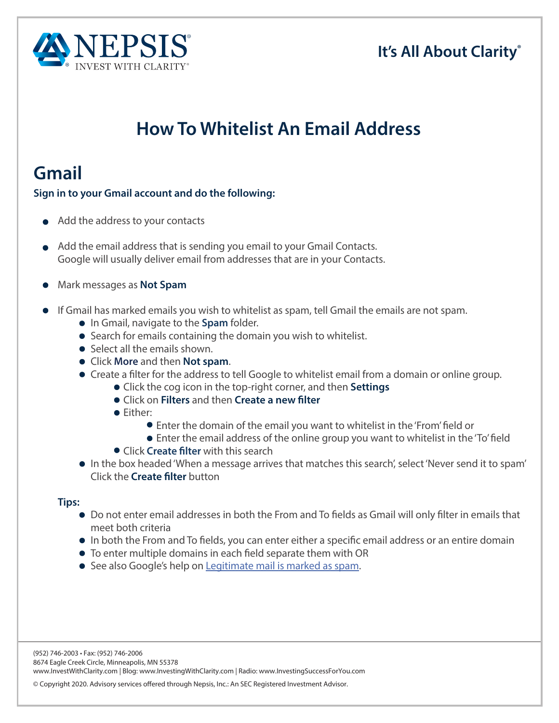#### **It's All About Clarity®**



# **How To Whitelist An Email Address**

### **Gmail**

#### **Sign in to your Gmail account and do the following:**

- Add the address to your contacts
- Add the email address that is sending you email to your Gmail Contacts. Google will usually deliver email from addresses that are in your Contacts.
- Mark messages as **Not Spam**
- If Gmail has marked emails you wish to whitelist as spam, tell Gmail the emails are not spam.
	- In Gmail, navigate to the **Spam** folder.
	- Search for emails containing the domain you wish to whitelist.
	- Select all the emails shown.
	- Click **More** and then **Not spam**.
	- Create a flter for the address to tell Google to whitelist email from a domain or online group.
		- Click the cog icon in the top-right corner, and then **Settings**
			- Click on **Filters** and then **Create a new flter**
			- **•** Either:
				- Enter the domain of the email you want to whitelist in the 'From' feld or
				- Enter the email address of the online group you want to whitelist in the 'To' feld
			- Click **Create flter** with this search
	- In the box headed 'When a message arrives that matches this search', select 'Never send it to spam' Click the **Create flter** button

#### **Tips:**

- Do not enter email addresses in both the From and To felds as Gmail will only flter in emails that meet both criteria
- In both the From and To felds, you can enter either a specifc email address or an entire domain
- To enter multiple domains in each feld separate them with OR
- **•** See also Google's help on Legitimate mail is marked as spam.

(952) 746-2003 • Fax: (952) 746-2006 8674 Eagle Creek Circle, Minneapolis, MN 55378 www.InvestWithClarity.com | Blog: www.InvestingWithClarity.com | Radio: www.InvestingSuccessForYou.com

© Copyright 2020. Advisory services offered through Nepsis, Inc.: An SEC Registered Investment Advisor.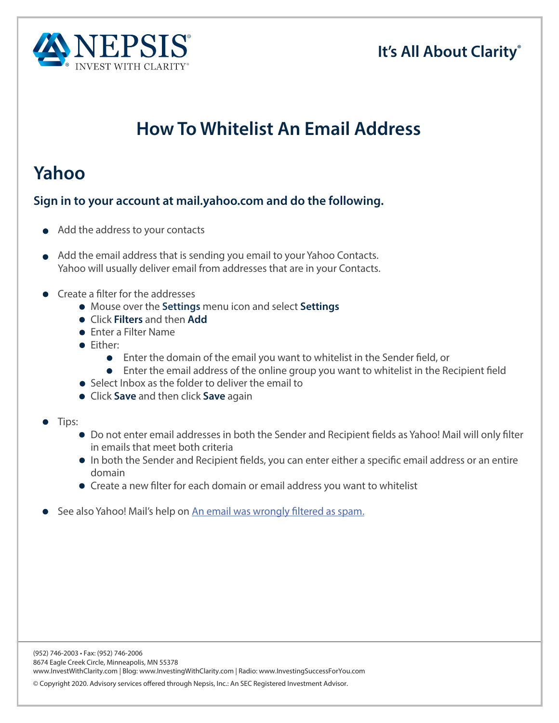



# **How To Whitelist An Email Address**

## **Yahoo**

#### **Sign in to your account at mail.yahoo.com and do the following.**

- Add the address to your contacts
- Add the email address that is sending you email to your Yahoo Contacts. Yahoo will usually deliver email from addresses that are in your Contacts.
- Create a filter for the addresses
	- Mouse over the **Settings** menu icon and select **Settings**
	- Click **Filters** and then **Add**
	- Enter a Filter Name
	- **•** Fither:
		- Enter the domain of the email you want to whitelist in the Sender feld, or
		- $\bullet$ Enter the email address of the online group you want to whitelist in the Recipient feld
	- Select Inbox as the folder to deliver the email to
	- Click **Save** and then click **Save** again
- Tips:
	- Do not enter email addresses in both the Sender and Recipient felds as Yahoo! Mail will only flter in emails that meet both criteria
	- In both the Sender and Recipient felds, you can enter either a specifc email address or an entire domain
	- Create a new flter for each domain or email address you want to whitelist
- See also Yahoo! Mail's help on An email was wrongly filtered as spam.

© Copyright 2020. Advisory services offered through Nepsis, Inc.: An SEC Registered Investment Advisor.